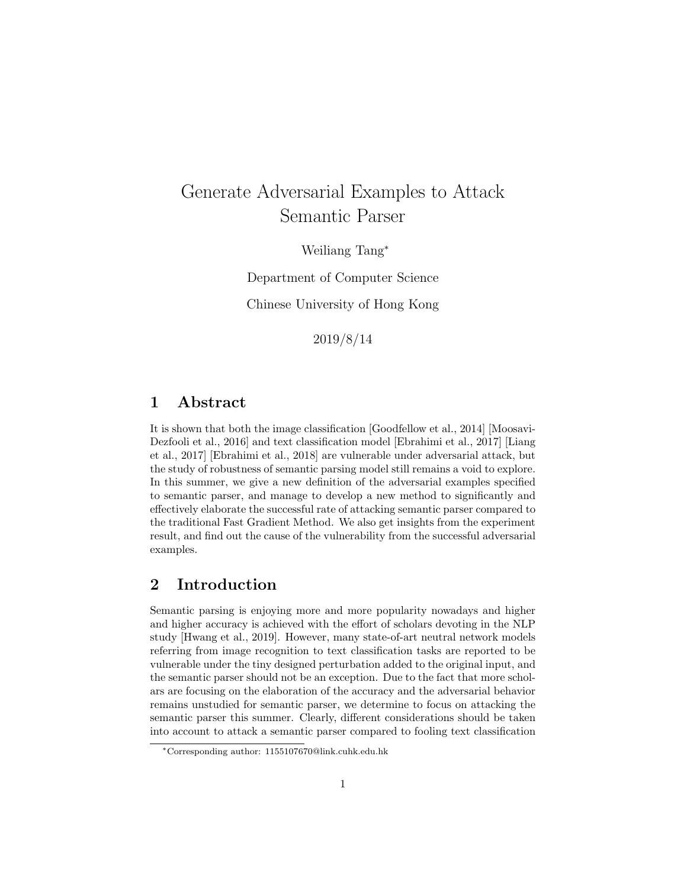# Generate Adversarial Examples to Attack Semantic Parser

Weiliang Tang<sup>∗</sup>

Department of Computer Science

Chinese University of Hong Kong

2019/8/14

### 1 Abstract

It is shown that both the image classification [Goodfellow et al., 2014] [Moosavi-Dezfooli et al., 2016] and text classification model [Ebrahimi et al., 2017] [Liang et al., 2017] [Ebrahimi et al., 2018] are vulnerable under adversarial attack, but the study of robustness of semantic parsing model still remains a void to explore. In this summer, we give a new definition of the adversarial examples specified to semantic parser, and manage to develop a new method to significantly and effectively elaborate the successful rate of attacking semantic parser compared to the traditional Fast Gradient Method. We also get insights from the experiment result, and find out the cause of the vulnerability from the successful adversarial examples.

### 2 Introduction

Semantic parsing is enjoying more and more popularity nowadays and higher and higher accuracy is achieved with the effort of scholars devoting in the NLP study [Hwang et al., 2019]. However, many state-of-art neutral network models referring from image recognition to text classification tasks are reported to be vulnerable under the tiny designed perturbation added to the original input, and the semantic parser should not be an exception. Due to the fact that more scholars are focusing on the elaboration of the accuracy and the adversarial behavior remains unstudied for semantic parser, we determine to focus on attacking the semantic parser this summer. Clearly, different considerations should be taken into account to attack a semantic parser compared to fooling text classification

<sup>∗</sup>Corresponding author: 1155107670@link.cuhk.edu.hk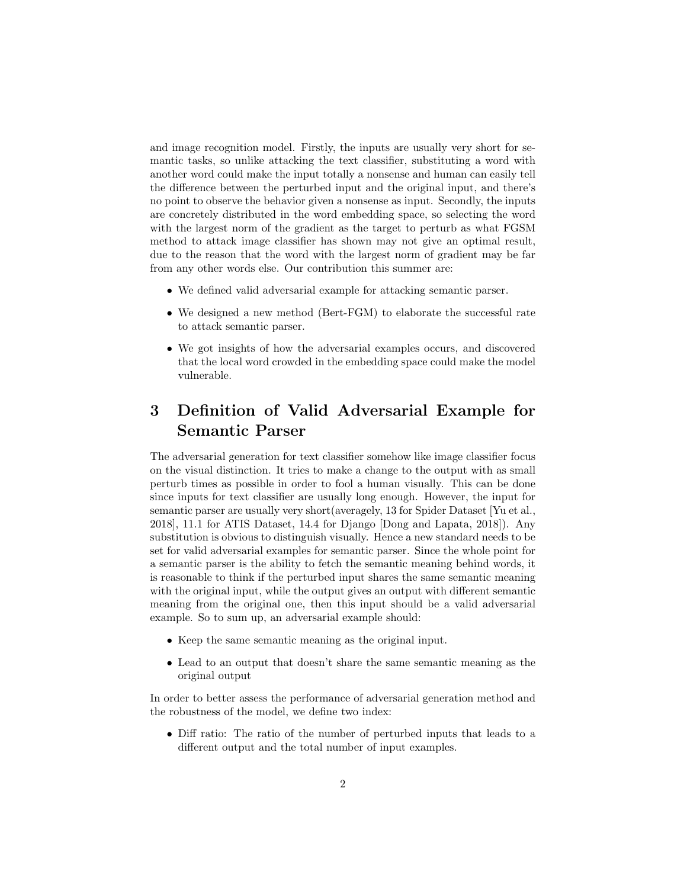and image recognition model. Firstly, the inputs are usually very short for semantic tasks, so unlike attacking the text classifier, substituting a word with another word could make the input totally a nonsense and human can easily tell the difference between the perturbed input and the original input, and there's no point to observe the behavior given a nonsense as input. Secondly, the inputs are concretely distributed in the word embedding space, so selecting the word with the largest norm of the gradient as the target to perturb as what FGSM method to attack image classifier has shown may not give an optimal result, due to the reason that the word with the largest norm of gradient may be far from any other words else. Our contribution this summer are:

- We defined valid adversarial example for attacking semantic parser.
- We designed a new method (Bert-FGM) to elaborate the successful rate to attack semantic parser.
- We got insights of how the adversarial examples occurs, and discovered that the local word crowded in the embedding space could make the model vulnerable.

# 3 Definition of Valid Adversarial Example for Semantic Parser

The adversarial generation for text classifier somehow like image classifier focus on the visual distinction. It tries to make a change to the output with as small perturb times as possible in order to fool a human visually. This can be done since inputs for text classifier are usually long enough. However, the input for semantic parser are usually very short(averagely, 13 for Spider Dataset [Yu et al., 2018], 11.1 for ATIS Dataset, 14.4 for Django [Dong and Lapata, 2018]). Any substitution is obvious to distinguish visually. Hence a new standard needs to be set for valid adversarial examples for semantic parser. Since the whole point for a semantic parser is the ability to fetch the semantic meaning behind words, it is reasonable to think if the perturbed input shares the same semantic meaning with the original input, while the output gives an output with different semantic meaning from the original one, then this input should be a valid adversarial example. So to sum up, an adversarial example should:

- Keep the same semantic meaning as the original input.
- Lead to an output that doesn't share the same semantic meaning as the original output

In order to better assess the performance of adversarial generation method and the robustness of the model, we define two index:

• Diff ratio: The ratio of the number of perturbed inputs that leads to a different output and the total number of input examples.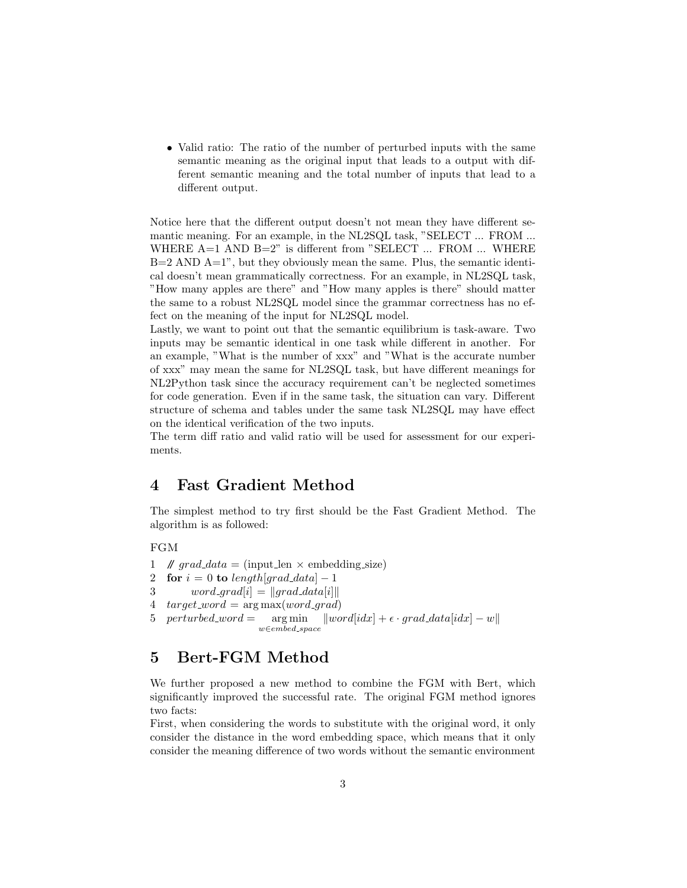• Valid ratio: The ratio of the number of perturbed inputs with the same semantic meaning as the original input that leads to a output with different semantic meaning and the total number of inputs that lead to a different output.

Notice here that the different output doesn't not mean they have different semantic meaning. For an example, in the NL2SQL task, "SELECT ... FROM ... WHERE A=1 AND B=2" is different from "SELECT ... FROM ... WHERE  $B=2$  AND  $A=1$ ", but they obviously mean the same. Plus, the semantic identical doesn't mean grammatically correctness. For an example, in NL2SQL task, "How many apples are there" and "How many apples is there" should matter the same to a robust NL2SQL model since the grammar correctness has no effect on the meaning of the input for NL2SQL model.

Lastly, we want to point out that the semantic equilibrium is task-aware. Two inputs may be semantic identical in one task while different in another. For an example, "What is the number of xxx" and "What is the accurate number of xxx" may mean the same for NL2SQL task, but have different meanings for NL2Python task since the accuracy requirement can't be neglected sometimes for code generation. Even if in the same task, the situation can vary. Different structure of schema and tables under the same task NL2SQL may have effect on the identical verification of the two inputs.

The term diff ratio and valid ratio will be used for assessment for our experiments.

### 4 Fast Gradient Method

The simplest method to try first should be the Fast Gradient Method. The algorithm is as followed:

FGM

1 //  $grad\_data = (input\_len \times embedding\_size)$ 2 for  $i = 0$  to length[grad\_data] – 1 3 word\_grad[i] =  $\|grad\_data[i]\|$ 4  $target\_word = \arg \max(word\_grad)$ 5 perturbed word  $=$  arg min w∈embed space  $\|word_idx| + \epsilon \cdot grad\_data_idx| - w\|$ 

### 5 Bert-FGM Method

We further proposed a new method to combine the FGM with Bert, which significantly improved the successful rate. The original FGM method ignores two facts:

First, when considering the words to substitute with the original word, it only consider the distance in the word embedding space, which means that it only consider the meaning difference of two words without the semantic environment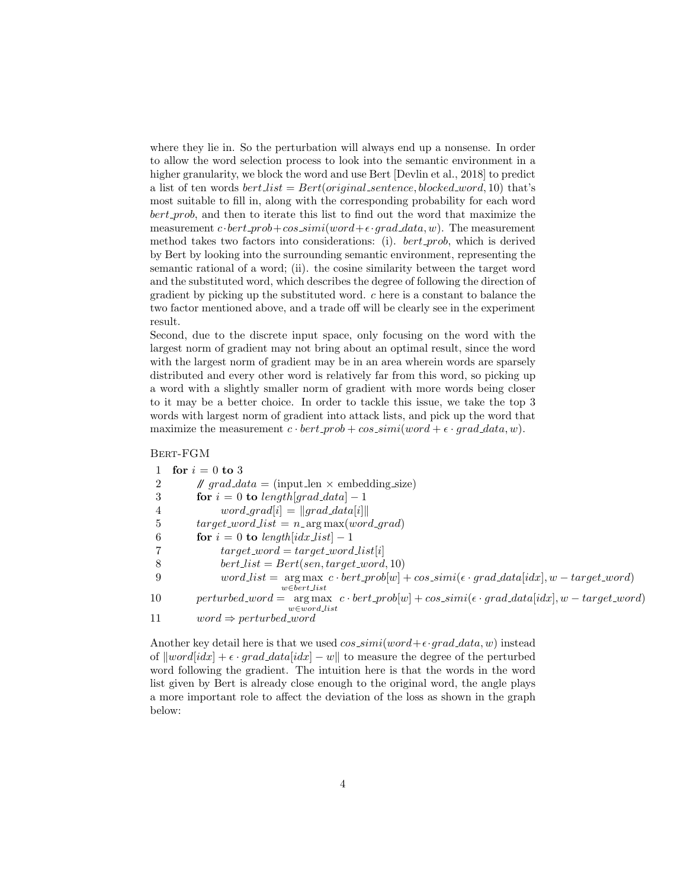where they lie in. So the perturbation will always end up a nonsense. In order to allow the word selection process to look into the semantic environment in a higher granularity, we block the word and use Bert [Devlin et al., 2018] to predict a list of ten words  $bert\_list = Bert(original\_sentence, blocked\_word, 10)$  that's most suitable to fill in, along with the corresponding probability for each word bert prob, and then to iterate this list to find out the word that maximize the measurement  $c \cdot bert\_prob+cos\_simi(word+\epsilon \cdot grad\_data, w)$ . The measurement method takes two factors into considerations: (i).  $bert\_prob$ , which is derived by Bert by looking into the surrounding semantic environment, representing the semantic rational of a word; (ii). the cosine similarity between the target word and the substituted word, which describes the degree of following the direction of gradient by picking up the substituted word.  $c$  here is a constant to balance the two factor mentioned above, and a trade off will be clearly see in the experiment result.

Second, due to the discrete input space, only focusing on the word with the largest norm of gradient may not bring about an optimal result, since the word with the largest norm of gradient may be in an area wherein words are sparsely distributed and every other word is relatively far from this word, so picking up a word with a slightly smaller norm of gradient with more words being closer to it may be a better choice. In order to tackle this issue, we take the top 3 words with largest norm of gradient into attack lists, and pick up the word that maximize the measurement  $c \cdot bert\_prob + cos\_simi(word + \epsilon \cdot grad\_data, w)$ .

Bert-FGM

|    | for $i=0$ to 3                                                                                                                                                   |
|----|------------------------------------------------------------------------------------------------------------------------------------------------------------------|
|    | $\mathcal{N}$ grad_data = (input_len $\times$ embedding_size)                                                                                                    |
| 3  | for $i = 0$ to length [grad_data] - 1                                                                                                                            |
| 4  | $word_{\mathcal{I}}grad[i] =   grad_{\mathcal{I}}data[i]  $                                                                                                      |
| -5 | $target\text{-}word\_list = n\text{-}argmax(word\text{-}grad)$                                                                                                   |
| -6 | for $i = 0$ to length [idx_list] - 1                                                                                                                             |
|    | $target\_word = target\_word\_list[i]$                                                                                                                           |
| 8  | $bert\_list = Bert(sen, target\_word, 10)$                                                                                                                       |
| 9  | $word\_list = \arg \max_{c} \text{·} \text{bert\_prob}[w] + \cos\_simi(\epsilon \text{·} \text{grad}\text{.data}[idx], w - \text{target\_word})$                 |
|    | $w \in bert\_list$                                                                                                                                               |
| 10 | $perturbed\_\text{word} = \arg \max_{c} c \cdot bert\_\text{prob}[w] + \cos\_\text{sim}i(\epsilon \cdot grad\_\text{data}[idx], w - \text{target}\_\text{word}]$ |
|    | $w \in word\_list$                                                                                                                                               |
| 11 | $word \Rightarrow perturbed\text{-}word$                                                                                                                         |

Another key detail here is that we used  $cos\sin(i(word + \epsilon \cdot grad\_data, w))$  instead of  $\Vert word[idx] + \epsilon \cdot grad\_data[idx] - w \Vert$  to measure the degree of the perturbed word following the gradient. The intuition here is that the words in the word list given by Bert is already close enough to the original word, the angle plays a more important role to affect the deviation of the loss as shown in the graph below: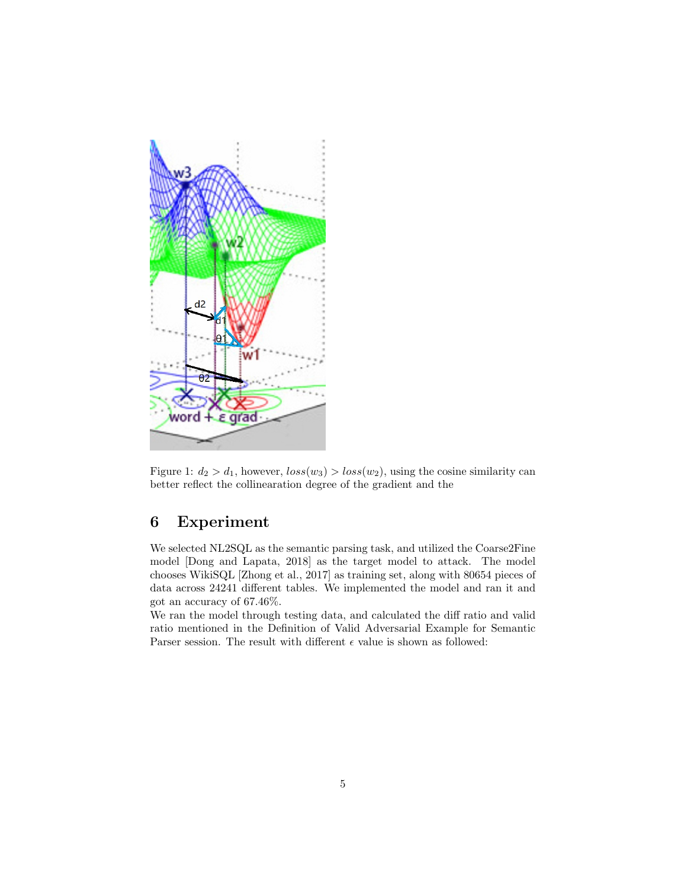

Figure 1:  $d_2 > d_1$ , however,  $loss(w_3) > loss(w_2)$ , using the cosine similarity can better reflect the collinearation degree of the gradient and the

## 6 Experiment

We selected NL2SQL as the semantic parsing task, and utilized the Coarse2Fine model [Dong and Lapata, 2018] as the target model to attack. The model chooses WikiSQL [Zhong et al., 2017] as training set, along with 80654 pieces of data across 24241 different tables. We implemented the model and ran it and got an accuracy of 67.46%.

We ran the model through testing data, and calculated the diff ratio and valid ratio mentioned in the Definition of Valid Adversarial Example for Semantic Parser session. The result with different  $\epsilon$  value is shown as followed: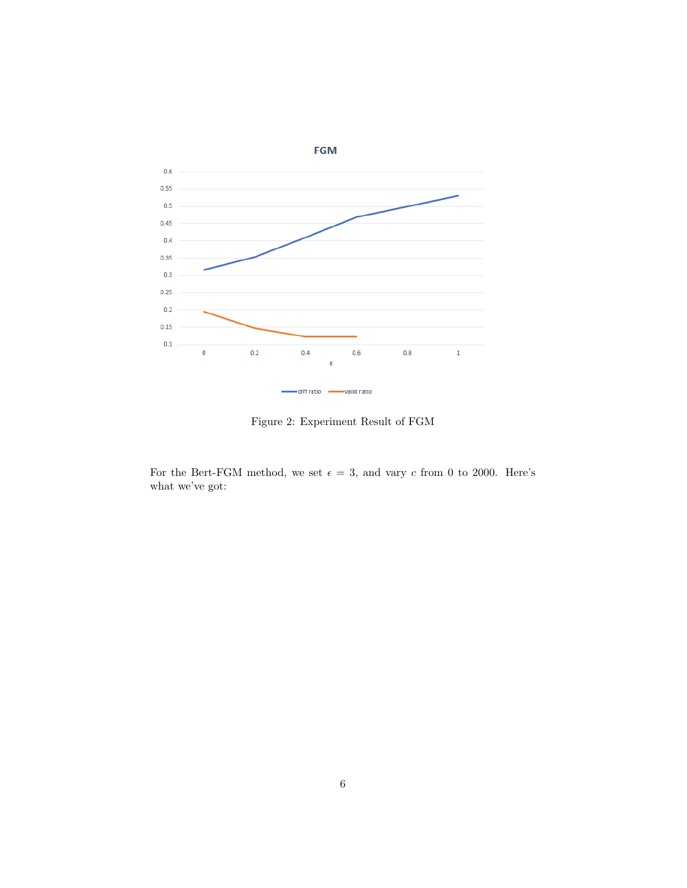

Figure 2: Experiment Result of FGM

For the Bert-FGM method, we set  $\epsilon = 3$ , and vary c from 0 to 2000. Here's what we've got: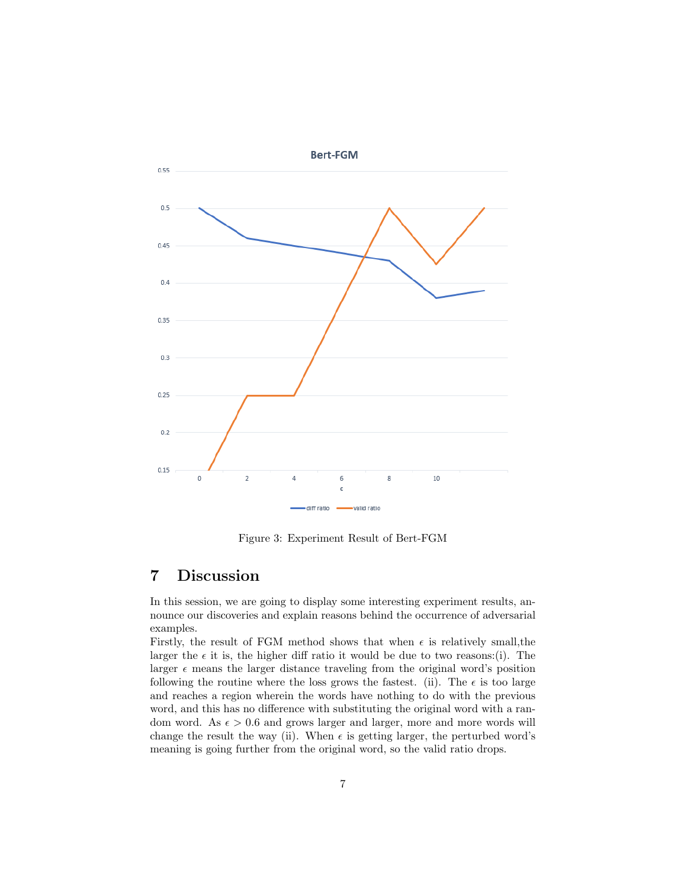

Figure 3: Experiment Result of Bert-FGM

### 7 Discussion

In this session, we are going to display some interesting experiment results, announce our discoveries and explain reasons behind the occurrence of adversarial examples.

Firstly, the result of FGM method shows that when  $\epsilon$  is relatively small, the larger the  $\epsilon$  it is, the higher diff ratio it would be due to two reasons:(i). The larger  $\epsilon$  means the larger distance traveling from the original word's position following the routine where the loss grows the fastest. (ii). The  $\epsilon$  is too large and reaches a region wherein the words have nothing to do with the previous word, and this has no difference with substituting the original word with a random word. As  $\epsilon > 0.6$  and grows larger and larger, more and more words will change the result the way (ii). When  $\epsilon$  is getting larger, the perturbed word's meaning is going further from the original word, so the valid ratio drops.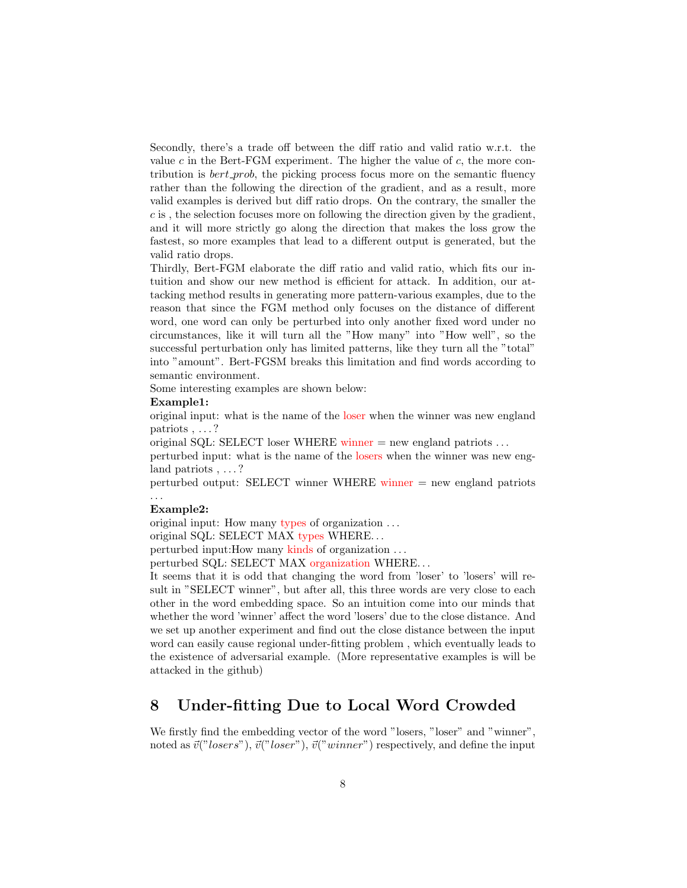Secondly, there's a trade off between the diff ratio and valid ratio w.r.t. the value  $c$  in the Bert-FGM experiment. The higher the value of  $c$ , the more contribution is  $bert\_prob$ , the picking process focus more on the semantic fluency rather than the following the direction of the gradient, and as a result, more valid examples is derived but diff ratio drops. On the contrary, the smaller the c is , the selection focuses more on following the direction given by the gradient, and it will more strictly go along the direction that makes the loss grow the fastest, so more examples that lead to a different output is generated, but the valid ratio drops.

Thirdly, Bert-FGM elaborate the diff ratio and valid ratio, which fits our intuition and show our new method is efficient for attack. In addition, our attacking method results in generating more pattern-various examples, due to the reason that since the FGM method only focuses on the distance of different word, one word can only be perturbed into only another fixed word under no circumstances, like it will turn all the "How many" into "How well", so the successful perturbation only has limited patterns, like they turn all the "total" into "amount". Bert-FGSM breaks this limitation and find words according to semantic environment.

Some interesting examples are shown below:

#### Example1:

original input: what is the name of the loser when the winner was new england patriots , . . . ?

original SQL: SELECT loser WHERE winner  $=$  new england patriots ...

perturbed input: what is the name of the losers when the winner was new england patriots , ...?

perturbed output: SELECT winner WHERE winner = new england patriots . . .

#### Example2:

original input: How many types of organization . . .

original SQL: SELECT MAX types WHERE. . .

perturbed input:How many kinds of organization . . .

perturbed SQL: SELECT MAX organization WHERE. . .

It seems that it is odd that changing the word from 'loser' to 'losers' will result in "SELECT winner", but after all, this three words are very close to each other in the word embedding space. So an intuition come into our minds that whether the word 'winner' affect the word 'losers' due to the close distance. And we set up another experiment and find out the close distance between the input word can easily cause regional under-fitting problem , which eventually leads to the existence of adversarial example. (More representative examples is will be attacked in the github)

### 8 Under-fitting Due to Local Word Crowded

We firstly find the embedding vector of the word "losers, "loser" and "winner", noted as  $\vec{v}("lossrs"), \vec{v}("lossr"), \vec{v}("winner")$  respectively, and define the input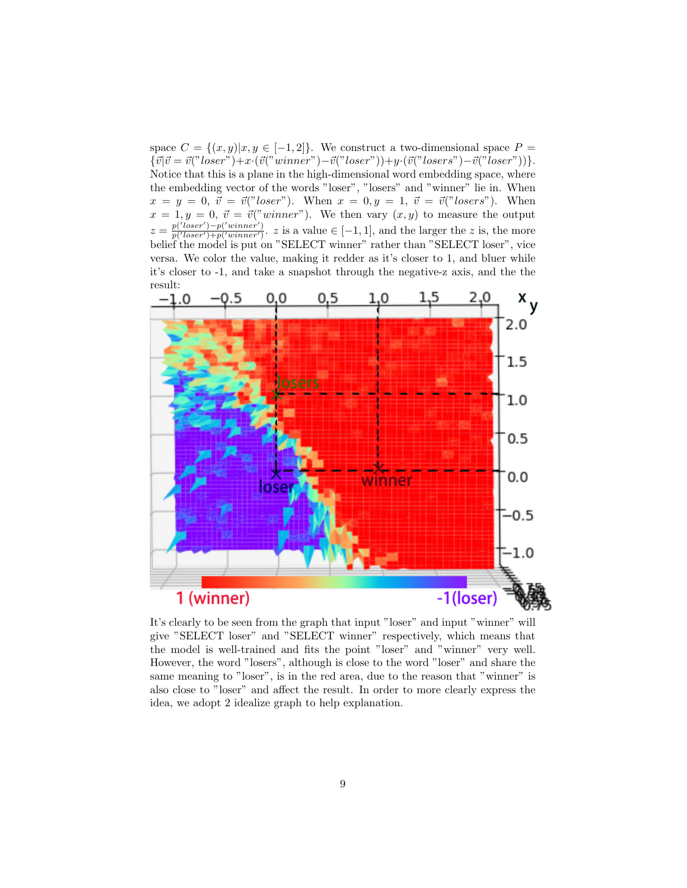space  $C = \{(x, y)|x, y \in [-1, 2]\}.$  We construct a two-dimensional space  $P =$  ${\overline{\langle \vec{v}|\vec{v}=\vec{v}("loser")}+x\cdot(\vec{v}("winner")-\vec{v}("loser"))+y\cdot(\vec{v}("loser")-\vec{v}("loser"))}.$ Notice that this is a plane in the high-dimensional word embedding space, where the embedding vector of the words "loser", "losers" and "winner" lie in. When  $x = y = 0, \ \vec{v} = \vec{v}("loser").$  When  $x = 0, y = 1, \ \vec{v} = \vec{v}("losers").$  When  $x = 1, y = 0, \ \vec{v} = \vec{v}("winner")$ . We then vary  $(x, y)$  to measure the output  $z =$  $p('loser')-p('winner')$  $\frac{p(\text{ }{p(\text{ }loser\text{ })+p(\text{ }winner\text{'}))}}{p(\text{ }loser\text{ })+p(\text{ }winner\text{'}))}$ . z is a value  $\in [-1,1]$ , and the larger the z is, the more belief the model is put on "SELECT winner" rather than "SELECT loser", vice versa. We color the value, making it redder as it's closer to 1, and bluer while it's closer to -1, and take a snapshot through the negative-z axis, and the the result:



It's clearly to be seen from the graph that input "loser" and input "winner" will give "SELECT loser" and "SELECT winner" respectively, which means that the model is well-trained and fits the point "loser" and "winner" very well. However, the word "losers", although is close to the word "loser" and share the same meaning to "loser", is in the red area, due to the reason that "winner" is also close to "loser" and affect the result. In order to more clearly express the idea, we adopt 2 idealize graph to help explanation.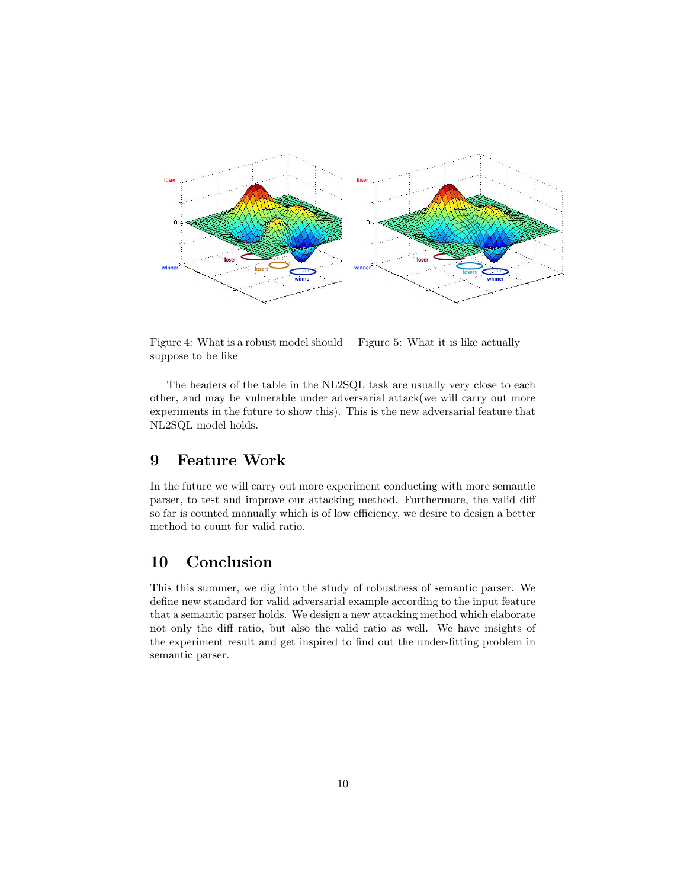

Figure 4: What is a robust model should suppose to be like Figure 5: What it is like actually

The headers of the table in the NL2SQL task are usually very close to each other, and may be vulnerable under adversarial attack(we will carry out more experiments in the future to show this). This is the new adversarial feature that NL2SQL model holds.

### 9 Feature Work

In the future we will carry out more experiment conducting with more semantic parser, to test and improve our attacking method. Furthermore, the valid diff so far is counted manually which is of low efficiency, we desire to design a better method to count for valid ratio.

# 10 Conclusion

This this summer, we dig into the study of robustness of semantic parser. We define new standard for valid adversarial example according to the input feature that a semantic parser holds. We design a new attacking method which elaborate not only the diff ratio, but also the valid ratio as well. We have insights of the experiment result and get inspired to find out the under-fitting problem in semantic parser.